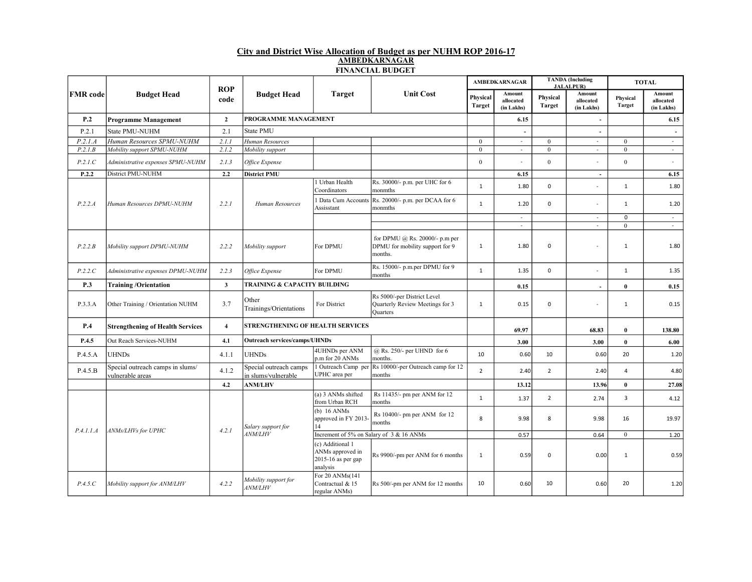## City and District Wise Allocation of Budget as per NUHM ROP 2016-17 AMBEDKARNAGAR FINANCIAL BUDGET

| <b>FMR</b> code | <b>Budget Head</b>                                   | <b>ROP</b><br>code | <b>Budget Head</b>                            | <b>Target</b>                                                          | <b>Unit Cost</b>                                                             | <b>AMBEDKARNAGAR</b> |                                   | <b>TANDA</b> (Including<br><b>JALALPUR</b> ) |                                   | <b>TOTAL</b>              |                                   |
|-----------------|------------------------------------------------------|--------------------|-----------------------------------------------|------------------------------------------------------------------------|------------------------------------------------------------------------------|----------------------|-----------------------------------|----------------------------------------------|-----------------------------------|---------------------------|-----------------------------------|
|                 |                                                      |                    |                                               |                                                                        |                                                                              | Physical<br>Target   | Amount<br>allocated<br>(in Lakhs) | Physical<br><b>Target</b>                    | Amount<br>allocated<br>(in Lakhs) | Physical<br><b>Target</b> | Amount<br>allocated<br>(in Lakhs) |
| P.2             | <b>Programme Management</b>                          | $\overline{2}$     | PROGRAMME MANAGEMENT                          |                                                                        |                                                                              |                      | 6.15                              |                                              | $\overline{\phantom{a}}$          |                           | 6.15                              |
| P.2.1           | State PMU-NUHM                                       | 2.1                | <b>State PMU</b>                              |                                                                        |                                                                              |                      |                                   |                                              | $\blacksquare$                    |                           |                                   |
| P.2.1.A         | Human Resources SPMU-NUHM                            | 2.1.1              | Human Resources                               |                                                                        |                                                                              | $\theta$             | $\sim$                            | $\theta$                                     | $\sim$                            | $\theta$                  | $\sim$                            |
| P.2.1.B         | Mobility support SPMU-NUHM                           | 2.1.2              | Mobility support                              |                                                                        |                                                                              | $\mathbf{0}$         | $\omega$                          | $\mathbf{0}$                                 | $\sim$                            | $\mathbf{0}$              | $\sim$                            |
| P.2.1.C         | Administrative expenses SPMU-NUHM                    | 2.1.3              | Office Expense                                |                                                                        |                                                                              | $\theta$             |                                   | $\theta$                                     | $\omega$                          | $\theta$                  | $\sim$                            |
| P.2.2           | District PMU-NUHM                                    | 2.2                | <b>District PMU</b>                           |                                                                        |                                                                              |                      | 6.15                              |                                              | $\blacksquare$                    |                           | 6.15                              |
|                 | Human Resources DPMU-NUHM                            | 2.2.1              | Human Resources                               | Urban Health<br>Coordinators                                           | Rs. 30000/- p.m. per UHC for 6<br>monmths                                    | $\mathbf{1}$         | 1.80                              | $\mathbf{0}$                                 | $\sim$                            | $\mathbf{1}$              | 1.80                              |
| P.2.2.A         |                                                      |                    |                                               | Data Cum Accounts<br>Assisstant                                        | Rs. 20000/- p.m. per DCAA for 6<br>monmths                                   | $\mathbf{1}$         | 1.20                              | $\mathbf 0$                                  | $\omega$                          | $\mathbf{1}$              | 1.20                              |
|                 |                                                      |                    |                                               |                                                                        |                                                                              |                      | $\sim$                            |                                              | $\blacksquare$                    | $\mathsf 0$               | $\sim$                            |
|                 |                                                      |                    |                                               |                                                                        |                                                                              |                      | $\omega$                          |                                              | $\sim$                            | $\mathbf{0}$              | $\sim$                            |
| P.2.2.B         | Mobility support DPMU-NUHM                           | 2.2.2              | Mobility support                              | For DPMU                                                               | for DPMU @ Rs. 20000/- p.m per<br>DPMU for mobility support for 9<br>months. | $\mathbf{1}$         | 1.80                              | $\mathbf 0$                                  | $\sim$                            | $\mathbf{1}$              | 1.80                              |
| P.2.2.C         | Administrative expenses DPMU-NUHM                    | 2.2.3              | Office Expense                                | For DPMU                                                               | Rs. 15000/- p.m.per DPMU for 9<br>months                                     | $\mathbf{1}$         | 1.35                              | $\mathsf 0$                                  | $\blacksquare$                    | $\mathbf{1}$              | 1.35                              |
| P.3             | <b>Training/Orientation</b>                          | $\mathbf{3}$       | <b>TRAINING &amp; CAPACITY BUILDING</b>       |                                                                        |                                                                              |                      | 0.15                              |                                              | $\overline{\phantom{a}}$          | $\bf{0}$                  | 0.15                              |
| P.3.3.A         | Other Training / Orientation NUHM                    | 3.7                | Other<br>Trainings/Orientations               | For District                                                           | Rs 5000/-per District Level<br>Quarterly Review Meetings for 3<br>Quarters   | $\mathbf{1}$         | 0.15                              | $\mathsf 0$                                  | $\sim$                            | $\mathbf{1}$              | 0.15                              |
| P.4             | <b>Strengthening of Health Services</b>              | $\overline{4}$     | <b>STRENGTHENING OF HEALTH SERVICES</b>       |                                                                        |                                                                              |                      | 69.97                             |                                              | 68.83                             | $\bf{0}$                  | 138.80                            |
| P.4.5           | Out Reach Services-NUHM                              | 4.1                | <b>Outreach services/camps/UHNDs</b>          |                                                                        |                                                                              |                      | 3.00                              |                                              | 3.00                              | $\bf{0}$                  | 6.00                              |
| P.4.5.A         | <b>UHNDs</b>                                         | 4.1.1              | <b>UHNDs</b>                                  | 4UHNDs per ANM<br>p.m for 20 ANMs                                      | @ Rs. 250/- per UHND for 6<br>months.                                        | 10                   | 0.60                              | 10                                           | 0.60                              | 20                        | 1.20                              |
| P.4.5.B         | Special outreach camps in slums/<br>vulnerable areas | 4.1.2              | Special outreach camps<br>in slums/vulnerable | UPHC area per                                                          | Outreach Camp per Rs 10000/-per Outreach camp for 12<br>months               | $\overline{2}$       | 2.40                              | $\overline{2}$                               | 2.40                              | $\overline{4}$            | 4.80                              |
|                 |                                                      | 4.2                | <b>ANM/LHV</b>                                |                                                                        |                                                                              |                      | 13.12                             |                                              | 13.96                             | $\mathbf{0}$              | 27.08                             |
|                 | ANMs/LHVs for UPHC                                   |                    |                                               | (a) 3 ANMs shifted<br>from Urban RCH                                   | Rs 11435/- pm per ANM for 12<br>months                                       | $\mathbf{1}$         | 1.37                              | $\overline{2}$                               | 2.74                              | $\overline{3}$            | 4.12                              |
| P.4.1.1.A       |                                                      | 4.2.1              | Salary support for<br>ANM/LHV                 | (b) $16$ ANMs<br>approved in FY 2013.<br>14                            | Rs 10400/- pm per ANM for 12<br>months                                       | 8                    | 9.98                              | 8                                            | 9.98                              | 16                        | 19.97                             |
|                 |                                                      |                    |                                               | Increment of 5% on Salary of 3 & 16 ANMs                               |                                                                              |                      | 0.57                              |                                              | 0.64                              | $\mathbf{0}$              | 1.20                              |
|                 |                                                      |                    |                                               | (c) Additional 1<br>ANMs approved in<br>2015-16 as per gap<br>analysis | Rs 9900/-pm per ANM for 6 months                                             | $\mathbf{1}$         | 0.59                              | $\mathbf 0$                                  | 0.00                              | $\mathbf{1}$              | 0.59                              |
| P.4.5.C         | Mobility support for ANM/LHV                         | 4.2.2              | Mobility support for<br>ANM/LHV               | For 20 ANMs(141<br>Contractual & 15<br>regular ANMs)                   | Rs 500/-pm per ANM for 12 months                                             | 10                   | 0.60                              | 10                                           | 0.60                              | 20                        | 1.20                              |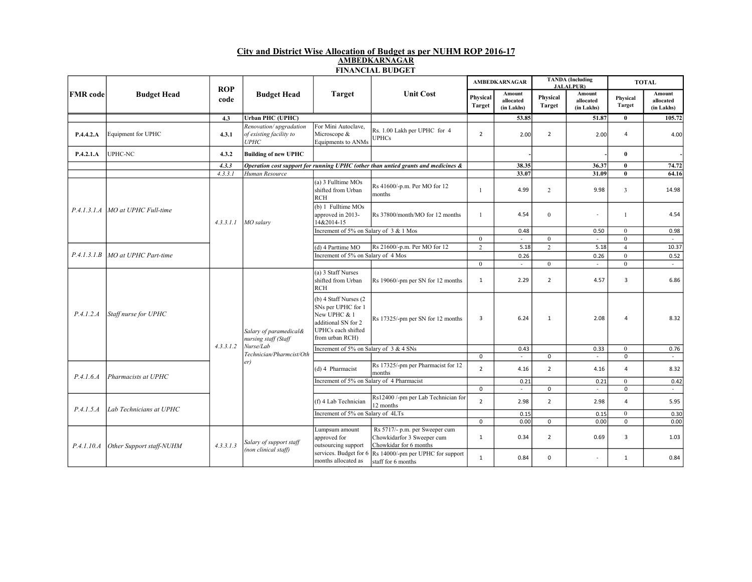## City and District Wise Allocation of Budget as per NUHM ROP 2016-17 AMBEDKARNAGAR FINANCIAL BUDGET

| <b>FMR</b> code | <b>Budget Head</b>                                         | <b>ROP</b> | <b>Budget Head</b>                                                                             | <b>Target</b>                                                                                                                    | <b>Unit Cost</b>                                                                       | <b>AMBEDKARNAGAR</b>      |                                   | <b>TANDA</b> (Including<br><b>JALALPUR)</b> |                                   | <b>TOTAL</b>       |                                   |
|-----------------|------------------------------------------------------------|------------|------------------------------------------------------------------------------------------------|----------------------------------------------------------------------------------------------------------------------------------|----------------------------------------------------------------------------------------|---------------------------|-----------------------------------|---------------------------------------------|-----------------------------------|--------------------|-----------------------------------|
|                 |                                                            | code       |                                                                                                |                                                                                                                                  |                                                                                        | Physical<br><b>Target</b> | Amount<br>allocated<br>(in Lakhs) | Physical<br><b>Target</b>                   | Amount<br>allocated<br>(in Lakhs) | Physical<br>Target | Amount<br>allocated<br>(in Lakhs) |
|                 |                                                            | 4.3        | <b>Urban PHC (UPHC)</b>                                                                        |                                                                                                                                  |                                                                                        |                           | 53.85                             |                                             | 51.87                             | $\bf{0}$           | 105.72                            |
| P.4.4.2.A       | Equipment for UPHC                                         | 4.3.1      | Renovation/upgradation<br>of existing facility to<br>UPHC                                      | For Mini Autoclave,<br>Microscope &<br>Equipments to ANMs                                                                        | Rs. 1.00 Lakh per UPHC for 4<br><b>UPHCs</b>                                           | $\overline{2}$            | 2.00                              | $\overline{2}$                              | 2.00                              | $\overline{4}$     | 4.00                              |
| P.4.2.1.A       | UPHC-NC                                                    | 4.3.2      | <b>Building of new UPHC</b>                                                                    |                                                                                                                                  |                                                                                        |                           |                                   |                                             |                                   | $\theta$           |                                   |
|                 |                                                            | 4.3.3      |                                                                                                |                                                                                                                                  | Operation cost support for running UPHC (other than untied grants and medicines $\&$   |                           | 38.35                             |                                             | 36.37                             | $\bf{0}$           | 74.72                             |
|                 |                                                            | 4, 3, 3, 1 | Human Resource                                                                                 |                                                                                                                                  |                                                                                        |                           | 33.07                             |                                             | 31.09                             | $\bf{0}$           | 64.16                             |
|                 | P.4.1.3.1.A   MO at UPHC Full-time<br>MO at UPHC Part-time |            | $MO$ salary                                                                                    | (a) 3 Fulltime MOs<br>shifted from Urban<br><b>RCH</b>                                                                           | Rs 41600/-p.m. Per MO for 12<br>months                                                 | -1                        | 4.99                              | $\overline{c}$                              | 9.98                              | 3                  | 14.98                             |
|                 |                                                            | 4.3.3.1.1  |                                                                                                | (b) 1 Fulltime MOs<br>approved in 2013-<br>14&2014-15                                                                            | Rs 37800/month/MO for 12 months                                                        | $\mathbf{1}$              | 4.54                              | $\boldsymbol{0}$                            | $\blacksquare$                    | $\mathbf{1}$       | 4.54                              |
|                 |                                                            |            |                                                                                                | Increment of 5% on Salary of 3 & 1 Mos                                                                                           |                                                                                        |                           | 0.48                              |                                             | 0.50                              | $\theta$           | 0.98                              |
|                 |                                                            |            |                                                                                                |                                                                                                                                  |                                                                                        | $\mathbf{0}$              | $\omega$                          | $\mathbf{0}$                                | $\omega$                          | $\mathbf{0}$       | $\mathcal{L}_{\mathcal{A}}$       |
|                 |                                                            |            |                                                                                                | (d) 4 Parttime MO                                                                                                                | Rs 21600/-p.m. Per MO for 12                                                           | $\overline{2}$            | 5.18                              | $\boldsymbol{2}$                            | 5.18                              | $\overline{4}$     | 10.37                             |
| P.4.1.3.1.B     |                                                            |            |                                                                                                | Increment of 5% on Salary of 4 Mos                                                                                               |                                                                                        |                           | 0.26                              |                                             | 0.26                              | $\mathbf{0}$       | 0.52                              |
|                 |                                                            |            |                                                                                                |                                                                                                                                  |                                                                                        | $\mathbf{0}$              | $\omega$ .                        | $\overline{0}$                              | $\sim$                            | $\mathbf{0}$       | $\sim$                            |
|                 | Staff nurse for UPHC                                       |            | Salary of paramedical&<br>nursing staff (Staff<br>Nurse/Lab<br>Technician/Pharmcist/Oth<br>er) | (a) 3 Staff Nurses<br>shifted from Urban<br><b>RCH</b>                                                                           | Rs 19060/-pm per SN for 12 months                                                      | $\mathbf{1}$              | 2.29                              | $\overline{2}$                              | 4.57                              | 3                  | 6.86                              |
| P.4.1.2.A       |                                                            |            |                                                                                                | $(b)$ 4 Staff Nurses $(2)$<br>SNs per UPHC for 1<br>New UPHC & 1<br>additional SN for 2<br>UPHCs each shifted<br>from urban RCH) | Rs 17325/-pm per SN for 12 months                                                      | 3                         | 6.24                              | $\mathbf{1}$                                | 2.08                              | $\overline{4}$     | 8.32                              |
|                 |                                                            | 4.3.3.1.2  |                                                                                                | Increment of 5% on Salary of 3 & 4 SNs                                                                                           |                                                                                        |                           | 0.43                              |                                             | 0.33                              | $\boldsymbol{0}$   | 0.76                              |
|                 |                                                            |            |                                                                                                |                                                                                                                                  |                                                                                        | $\mathbf 0$               | $\sim$                            | $\mathbf 0$                                 | $\sim$                            | $\mathbf 0$        | $\sim$                            |
| P.4.1.6.4       | Pharmacists at UPHC                                        |            |                                                                                                | (d) 4 Pharmacist                                                                                                                 | Rs 17325/-pm per Pharmacist for 12<br>months                                           | $\overline{2}$            | 4.16                              | $\overline{2}$                              | 4.16                              | $\overline{4}$     | 8.32                              |
|                 |                                                            |            |                                                                                                | Increment of 5% on Salary of 4 Pharmacist                                                                                        |                                                                                        |                           | 0.21                              |                                             | 0.21                              | $\mathbf{0}$       | 0.42                              |
|                 |                                                            |            |                                                                                                |                                                                                                                                  |                                                                                        | $\pmb{0}$                 | $\omega$ .                        | $\mathbf 0$                                 | $\omega$ .                        | $\pmb{0}$          | $\sim$                            |
| P.4.1.5.4       | Lab Technicians at UPHC                                    |            |                                                                                                | (f) 4 Lab Technician                                                                                                             | Rs12400 /-pm per Lab Technician for<br>12 months                                       | $\overline{2}$            | 2.98                              | $\overline{2}$                              | 2.98                              | $\overline{4}$     | 5.95                              |
|                 |                                                            |            |                                                                                                | Increment of 5% on Salary of 4LTs                                                                                                |                                                                                        |                           | 0.15                              |                                             | 0.15                              | $\bf{0}$           | 0.30                              |
|                 |                                                            |            |                                                                                                |                                                                                                                                  |                                                                                        | $\mathsf 0$               | 0.00                              | $\mathsf 0$                                 | 0.00                              | $\mathbf 0$        | 0.00                              |
| P.4.1.10.A      | Other Support staff-NUHM                                   | 4.3.3.1.3  | Salary of support staff<br>(non clinical staff)                                                | Lumpsum amount<br>approved for<br>outsourcing support                                                                            | Rs 5717/- p.m. per Sweeper cum<br>Chowkidarfor 3 Sweeper cum<br>Chowkidar for 6 months | $\mathbf{1}$              | 0.34                              | $\overline{2}$                              | 0.69                              | 3                  | 1.03                              |
|                 |                                                            |            |                                                                                                | services. Budget for 6<br>months allocated as                                                                                    | Rs 14000/-pm per UPHC for support<br>staff for 6 months                                | $\mathbf{1}$              | 0.84                              | $\mathbf 0$                                 | ÷                                 | 1                  | 0.84                              |